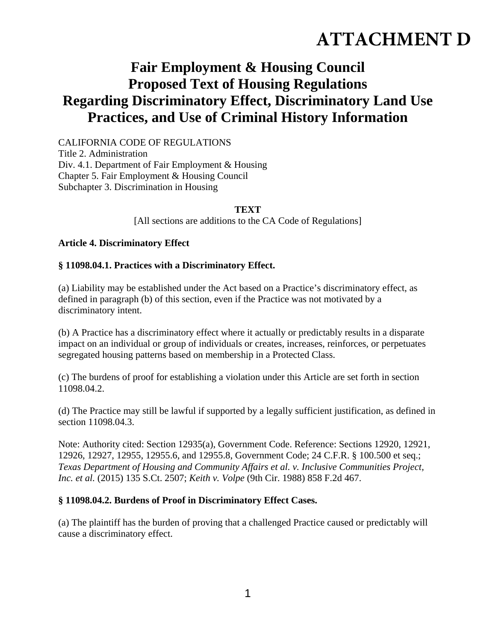# **ATTACHMENT D**

# **Fair Employment & Housing Council Proposed Text of Housing Regulations Regarding Discriminatory Effect, Discriminatory Land Use Practices, and Use of Criminal History Information**

CALIFORNIA CODE OF REGULATIONS Title 2. Administration Div. 4.1. Department of Fair Employment & Housing Chapter 5. Fair Employment & Housing Council Subchapter 3. Discrimination in Housing

#### **TEXT**

[All sections are additions to the CA Code of Regulations]

#### **Article 4. Discriminatory Effect**

#### **§ 11098.04.1. Practices with a Discriminatory Effect.**

(a) Liability may be established under the Act based on a Practice's discriminatory effect, as defined in paragraph (b) of this section, even if the Practice was not motivated by a discriminatory intent.

(b) A Practice has a discriminatory effect where it actually or predictably results in a disparate impact on an individual or group of individuals or creates, increases, reinforces, or perpetuates segregated housing patterns based on membership in a Protected Class.

(c) The burdens of proof for establishing a violation under this Article are set forth in section 11098.04.2.

(d) The Practice may still be lawful if supported by a legally sufficient justification, as defined in section 11098.04.3.

Note: Authority cited: Section 12935(a), Government Code. Reference: Sections 12920, 12921, 12926, 12927, 12955, 12955.6, and 12955.8, Government Code; 24 C.F.R. § 100.500 et seq.; *Texas Department of Housing and Community Affairs et al. v. Inclusive Communities Project, Inc. et al.* (2015) 135 S.Ct. 2507; *Keith v. Volpe* (9th Cir. 1988) 858 F.2d 467.

#### **§ 11098.04.2. Burdens of Proof in Discriminatory Effect Cases.**

(a) The plaintiff has the burden of proving that a challenged Practice caused or predictably will cause a discriminatory effect.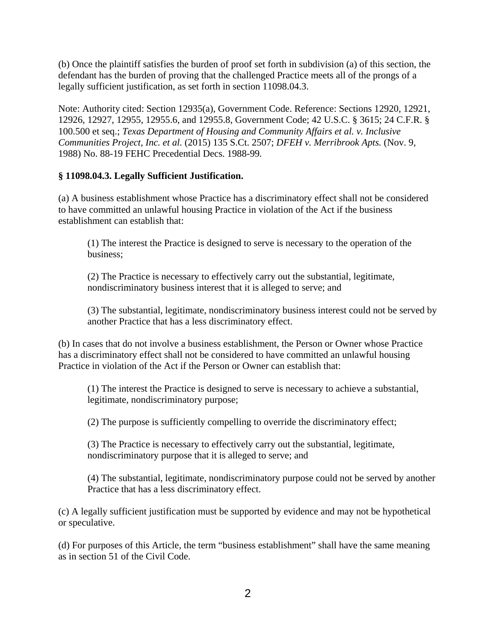(b) Once the plaintiff satisfies the burden of proof set forth in subdivision (a) of this section, the defendant has the burden of proving that the challenged Practice meets all of the prongs of a legally sufficient justification, as set forth in section 11098.04.3.

Note: Authority cited: Section 12935(a), Government Code. Reference: Sections 12920, 12921, 12926, 12927, 12955, 12955.6, and 12955.8, Government Code; 42 U.S.C. § 3615; 24 C.F.R. § 100.500 et seq.; *Texas Department of Housing and Community Affairs et al. v. Inclusive Communities Project, Inc. et al.* (2015) 135 S.Ct. 2507; *DFEH v. Merribrook Apts.* (Nov. 9, 1988) No. 88-19 FEHC Precedential Decs. 1988-99*.*

### **§ 11098.04.3. Legally Sufficient Justification.**

(a) A business establishment whose Practice has a discriminatory effect shall not be considered to have committed an unlawful housing Practice in violation of the Act if the business establishment can establish that:

(1) The interest the Practice is designed to serve is necessary to the operation of the business;

(2) The Practice is necessary to effectively carry out the substantial, legitimate, nondiscriminatory business interest that it is alleged to serve; and

(3) The substantial, legitimate, nondiscriminatory business interest could not be served by another Practice that has a less discriminatory effect.

(b) In cases that do not involve a business establishment, the Person or Owner whose Practice has a discriminatory effect shall not be considered to have committed an unlawful housing Practice in violation of the Act if the Person or Owner can establish that:

(1) The interest the Practice is designed to serve is necessary to achieve a substantial, legitimate, nondiscriminatory purpose;

(2) The purpose is sufficiently compelling to override the discriminatory effect;

(3) The Practice is necessary to effectively carry out the substantial, legitimate, nondiscriminatory purpose that it is alleged to serve; and

(4) The substantial, legitimate, nondiscriminatory purpose could not be served by another Practice that has a less discriminatory effect.

(c) A legally sufficient justification must be supported by evidence and may not be hypothetical or speculative.

(d) For purposes of this Article, the term "business establishment" shall have the same meaning as in section 51 of the Civil Code.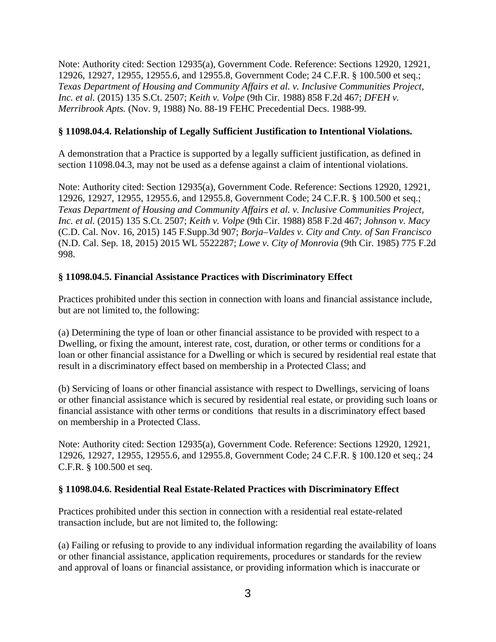Note: Authority cited: Section 12935(a), Government Code. Reference: Sections 12920, 12921, 12926, 12927, 12955, 12955.6, and 12955.8, Government Code; 24 C.F.R. § 100.500 et seq.; *Texas Department of Housing and Community Affairs et al. v. Inclusive Communities Project, Inc. et al.* (2015) 135 S.Ct. 2507; *Keith v. Volpe* (9th Cir. 1988) 858 F.2d 467; *DFEH v. Merribrook Apts.* (Nov. 9, 1988) No. 88-19 FEHC Precedential Decs. 1988-99*.*

#### **§ 11098.04.4. Relationship of Legally Sufficient Justification to Intentional Violations.**

A demonstration that a Practice is supported by a legally sufficient justification, as defined in section 11098.04.3, may not be used as a defense against a claim of intentional violations.

Note: Authority cited: Section 12935(a), Government Code. Reference: Sections 12920, 12921, 12926, 12927, 12955, 12955.6, and 12955.8, Government Code; 24 C.F.R. § 100.500 et seq.; *Texas Department of Housing and Community Affairs et al. v. Inclusive Communities Project, Inc. et al.* (2015) 135 S.Ct. 2507; *Keith v. Volpe* (9th Cir. 1988) 858 F.2d 467; *Johnson v. Macy* (C.D. Cal. Nov. 16, 2015) 145 F.Supp.3d 907; *Borja–Valdes v. City and Cnty. of San Francisco* (N.D. Cal. Sep. 18, 2015) 2015 WL 5522287; *Lowe v. City of Monrovia* (9th Cir. 1985) 775 F.2d 998.

### **§ 11098.04.5. Financial Assistance Practices with Discriminatory Effect**

Practices prohibited under this section in connection with loans and financial assistance include, but are not limited to, the following:

(a) Determining the type of loan or other financial assistance to be provided with respect to a Dwelling, or fixing the amount, interest rate, cost, duration, or other terms or conditions for a loan or other financial assistance for a Dwelling or which is secured by residential real estate that result in a discriminatory effect based on membership in a Protected Class; and

(b) Servicing of loans or other financial assistance with respect to Dwellings, servicing of loans or other financial assistance which is secured by residential real estate, or providing such loans or financial assistance with other terms or conditions that results in a discriminatory effect based on membership in a Protected Class.

Note: Authority cited: Section 12935(a), Government Code. Reference: Sections 12920, 12921, 12926, 12927, 12955, 12955.6, and 12955.8, Government Code; 24 C.F.R. § 100.120 et seq.; 24 C.F.R. § 100.500 et seq.

#### **§ 11098.04.6. Residential Real Estate-Related Practices with Discriminatory Effect**

Practices prohibited under this section in connection with a residential real estate-related transaction include, but are not limited to, the following:

(a) Failing or refusing to provide to any individual information regarding the availability of loans or other financial assistance, application requirements, procedures or standards for the review and approval of loans or financial assistance, or providing information which is inaccurate or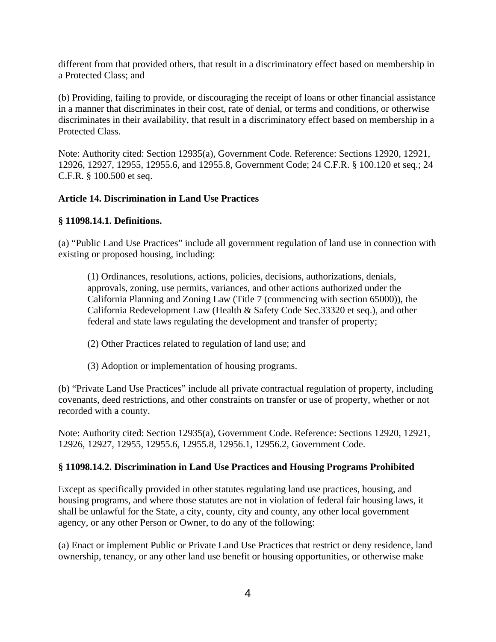different from that provided others, that result in a discriminatory effect based on membership in a Protected Class; and

(b) Providing, failing to provide, or discouraging the receipt of loans or other financial assistance in a manner that discriminates in their cost, rate of denial, or terms and conditions, or otherwise discriminates in their availability, that result in a discriminatory effect based on membership in a Protected Class.

Note: Authority cited: Section 12935(a), Government Code. Reference: Sections 12920, 12921, 12926, 12927, 12955, 12955.6, and 12955.8, Government Code; 24 C.F.R. § 100.120 et seq.; 24 C.F.R. § 100.500 et seq.

### **Article 14. Discrimination in Land Use Practices**

### **§ 11098.14.1. Definitions.**

(a) "Public Land Use Practices" include all government regulation of land use in connection with existing or proposed housing, including:

(1) Ordinances, resolutions, actions, policies, decisions, authorizations, denials, approvals, zoning, use permits, variances, and other actions authorized under the California Planning and Zoning Law (Title 7 (commencing with section 65000)), the California Redevelopment Law (Health & Safety Code Sec.33320 et seq.), and other federal and state laws regulating the development and transfer of property;

- (2) Other Practices related to regulation of land use; and
- (3) Adoption or implementation of housing programs.

(b) "Private Land Use Practices" include all private contractual regulation of property, including covenants, deed restrictions, and other constraints on transfer or use of property, whether or not recorded with a county.

Note: Authority cited: Section 12935(a), Government Code. Reference: Sections 12920, 12921, 12926, 12927, 12955, 12955.6, 12955.8, 12956.1, 12956.2, Government Code.

### **§ 11098.14.2. Discrimination in Land Use Practices and Housing Programs Prohibited**

Except as specifically provided in other statutes regulating land use practices, housing, and housing programs, and where those statutes are not in violation of federal fair housing laws, it shall be unlawful for the State, a city, county, city and county, any other local government agency, or any other Person or Owner, to do any of the following:

(a) Enact or implement Public or Private Land Use Practices that restrict or deny residence, land ownership, tenancy, or any other land use benefit or housing opportunities, or otherwise make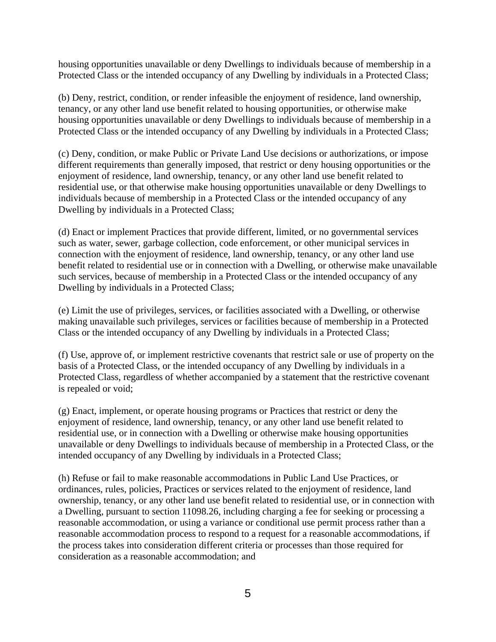housing opportunities unavailable or deny Dwellings to individuals because of membership in a Protected Class or the intended occupancy of any Dwelling by individuals in a Protected Class;

(b) Deny, restrict, condition, or render infeasible the enjoyment of residence, land ownership, tenancy, or any other land use benefit related to housing opportunities, or otherwise make housing opportunities unavailable or deny Dwellings to individuals because of membership in a Protected Class or the intended occupancy of any Dwelling by individuals in a Protected Class;

(c) Deny, condition, or make Public or Private Land Use decisions or authorizations, or impose different requirements than generally imposed, that restrict or deny housing opportunities or the enjoyment of residence, land ownership, tenancy, or any other land use benefit related to residential use, or that otherwise make housing opportunities unavailable or deny Dwellings to individuals because of membership in a Protected Class or the intended occupancy of any Dwelling by individuals in a Protected Class;

(d) Enact or implement Practices that provide different, limited, or no governmental services such as water, sewer, garbage collection, code enforcement, or other municipal services in connection with the enjoyment of residence, land ownership, tenancy, or any other land use benefit related to residential use or in connection with a Dwelling, or otherwise make unavailable such services, because of membership in a Protected Class or the intended occupancy of any Dwelling by individuals in a Protected Class;

(e) Limit the use of privileges, services, or facilities associated with a Dwelling, or otherwise making unavailable such privileges, services or facilities because of membership in a Protected Class or the intended occupancy of any Dwelling by individuals in a Protected Class;

(f) Use, approve of, or implement restrictive covenants that restrict sale or use of property on the basis of a Protected Class, or the intended occupancy of any Dwelling by individuals in a Protected Class, regardless of whether accompanied by a statement that the restrictive covenant is repealed or void;

(g) Enact, implement, or operate housing programs or Practices that restrict or deny the enjoyment of residence, land ownership, tenancy, or any other land use benefit related to residential use, or in connection with a Dwelling or otherwise make housing opportunities unavailable or deny Dwellings to individuals because of membership in a Protected Class, or the intended occupancy of any Dwelling by individuals in a Protected Class;

(h) Refuse or fail to make reasonable accommodations in Public Land Use Practices, or ordinances, rules, policies, Practices or services related to the enjoyment of residence, land ownership, tenancy, or any other land use benefit related to residential use, or in connection with a Dwelling, pursuant to section 11098.26, including charging a fee for seeking or processing a reasonable accommodation, or using a variance or conditional use permit process rather than a reasonable accommodation process to respond to a request for a reasonable accommodations, if the process takes into consideration different criteria or processes than those required for consideration as a reasonable accommodation; and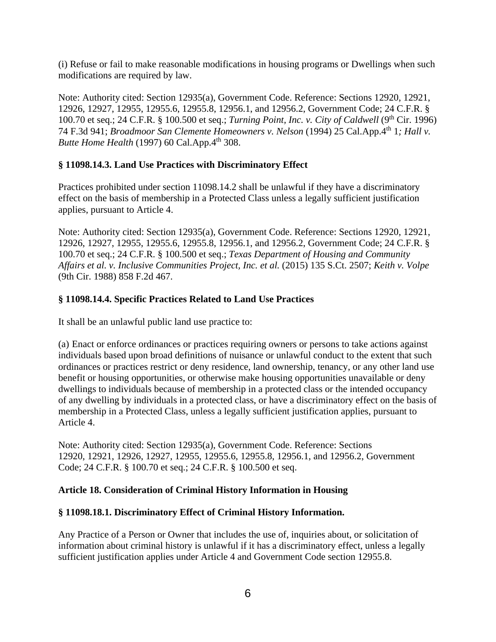(i) Refuse or fail to make reasonable modifications in housing programs or Dwellings when such modifications are required by law.

Note: Authority cited: Section 12935(a), Government Code. Reference: Sections 12920, 12921, 12926, 12927, 12955, 12955.6, 12955.8, 12956.1, and 12956.2, Government Code; 24 C.F.R. § 100.70 et seq.; 24 C.F.R. § 100.500 et seq.; *Turning Point, Inc. v. City of Caldwell* (9th Cir. 1996) 74 F.3d 941; *Broadmoor San Clemente Homeowners v. Nelson* (1994) 25 Cal.App.4th 1*; Hall v. Butte Home Health* (1997) 60 Cal.App.4<sup>th</sup> 308.

# **§ 11098.14.3. Land Use Practices with Discriminatory Effect**

Practices prohibited under section 11098.14.2 shall be unlawful if they have a discriminatory effect on the basis of membership in a Protected Class unless a legally sufficient justification applies, pursuant to Article 4.

Note: Authority cited: Section 12935(a), Government Code. Reference: Sections 12920, 12921, 12926, 12927, 12955, 12955.6, 12955.8, 12956.1, and 12956.2, Government Code; 24 C.F.R. § 100.70 et seq.; 24 C.F.R. § 100.500 et seq.; *Texas Department of Housing and Community Affairs et al. v. Inclusive Communities Project, Inc. et al.* (2015) 135 S.Ct. 2507; *Keith v. Volpe*  (9th Cir. 1988) 858 F.2d 467.

# **§ 11098.14.4. Specific Practices Related to Land Use Practices**

It shall be an unlawful public land use practice to:

(a) Enact or enforce ordinances or practices requiring owners or persons to take actions against individuals based upon broad definitions of nuisance or unlawful conduct to the extent that such ordinances or practices restrict or deny residence, land ownership, tenancy, or any other land use benefit or housing opportunities, or otherwise make housing opportunities unavailable or deny dwellings to individuals because of membership in a protected class or the intended occupancy of any dwelling by individuals in a protected class, or have a discriminatory effect on the basis of membership in a Protected Class, unless a legally sufficient justification applies, pursuant to Article 4.

Note: Authority cited: Section 12935(a), Government Code. Reference: Sections 12920, 12921, 12926, 12927, 12955, 12955.6, 12955.8, 12956.1, and 12956.2, Government Code; 24 C.F.R. § 100.70 et seq.; 24 C.F.R. § 100.500 et seq.

### **Article 18. Consideration of Criminal History Information in Housing**

### **§ 11098.18.1. Discriminatory Effect of Criminal History Information.**

Any Practice of a Person or Owner that includes the use of, inquiries about, or solicitation of information about criminal history is unlawful if it has a discriminatory effect, unless a legally sufficient justification applies under Article 4 and Government Code section 12955.8.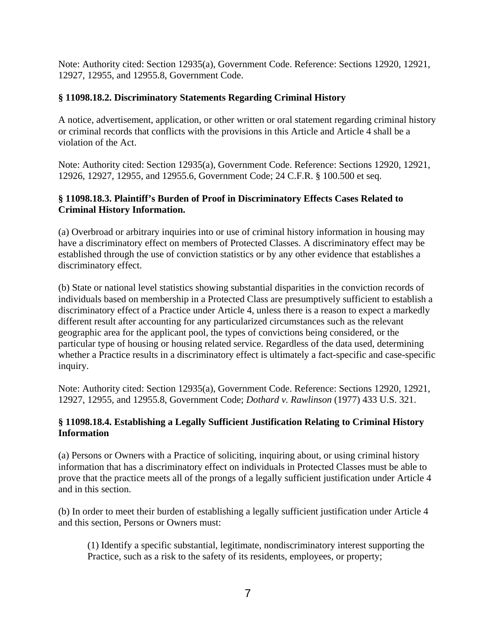Note: Authority cited: Section 12935(a), Government Code. Reference: Sections 12920, 12921, 12927, 12955, and 12955.8, Government Code.

# **§ 11098.18.2. Discriminatory Statements Regarding Criminal History**

A notice, advertisement, application, or other written or oral statement regarding criminal history or criminal records that conflicts with the provisions in this Article and Article 4 shall be a violation of the Act.

Note: Authority cited: Section 12935(a), Government Code. Reference: Sections 12920, 12921, 12926, 12927, 12955, and 12955.6, Government Code; 24 C.F.R. § 100.500 et seq.

# **§ 11098.18.3. Plaintiff's Burden of Proof in Discriminatory Effects Cases Related to Criminal History Information.**

(a) Overbroad or arbitrary inquiries into or use of criminal history information in housing may have a discriminatory effect on members of Protected Classes. A discriminatory effect may be established through the use of conviction statistics or by any other evidence that establishes a discriminatory effect.

(b) State or national level statistics showing substantial disparities in the conviction records of individuals based on membership in a Protected Class are presumptively sufficient to establish a discriminatory effect of a Practice under Article 4, unless there is a reason to expect a markedly different result after accounting for any particularized circumstances such as the relevant geographic area for the applicant pool, the types of convictions being considered, or the particular type of housing or housing related service. Regardless of the data used, determining whether a Practice results in a discriminatory effect is ultimately a fact-specific and case-specific inquiry.

Note: Authority cited: Section 12935(a), Government Code. Reference: Sections 12920, 12921, 12927, 12955, and 12955.8, Government Code; *Dothard v. Rawlinson* (1977) 433 U.S. 321.

### **§ 11098.18.4. Establishing a Legally Sufficient Justification Relating to Criminal History Information**

(a) Persons or Owners with a Practice of soliciting, inquiring about, or using criminal history information that has a discriminatory effect on individuals in Protected Classes must be able to prove that the practice meets all of the prongs of a legally sufficient justification under Article 4 and in this section.

(b) In order to meet their burden of establishing a legally sufficient justification under Article 4 and this section, Persons or Owners must:

(1) Identify a specific substantial, legitimate, nondiscriminatory interest supporting the Practice, such as a risk to the safety of its residents, employees, or property;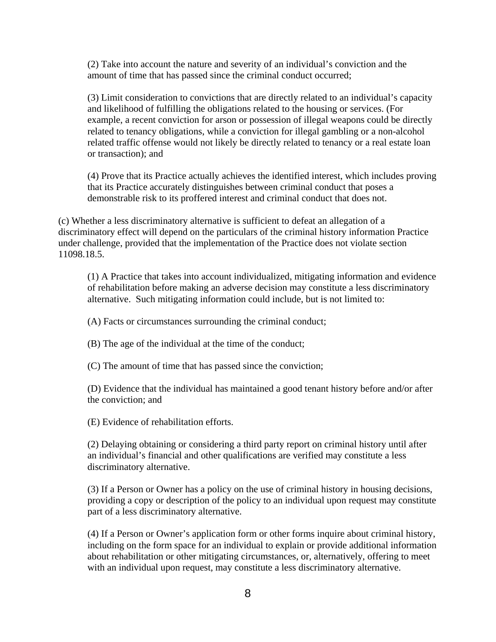(2) Take into account the nature and severity of an individual's conviction and the amount of time that has passed since the criminal conduct occurred;

(3) Limit consideration to convictions that are directly related to an individual's capacity and likelihood of fulfilling the obligations related to the housing or services. (For example, a recent conviction for arson or possession of illegal weapons could be directly related to tenancy obligations, while a conviction for illegal gambling or a non-alcohol related traffic offense would not likely be directly related to tenancy or a real estate loan or transaction); and

(4) Prove that its Practice actually achieves the identified interest, which includes proving that its Practice accurately distinguishes between criminal conduct that poses a demonstrable risk to its proffered interest and criminal conduct that does not.

(c) Whether a less discriminatory alternative is sufficient to defeat an allegation of a discriminatory effect will depend on the particulars of the criminal history information Practice under challenge, provided that the implementation of the Practice does not violate section 11098.18.5.

(1) A Practice that takes into account individualized, mitigating information and evidence of rehabilitation before making an adverse decision may constitute a less discriminatory alternative. Such mitigating information could include, but is not limited to:

(A) Facts or circumstances surrounding the criminal conduct;

(B) The age of the individual at the time of the conduct;

(C) The amount of time that has passed since the conviction;

(D) Evidence that the individual has maintained a good tenant history before and/or after the conviction; and

(E) Evidence of rehabilitation efforts.

(2) Delaying obtaining or considering a third party report on criminal history until after an individual's financial and other qualifications are verified may constitute a less discriminatory alternative.

(3) If a Person or Owner has a policy on the use of criminal history in housing decisions, providing a copy or description of the policy to an individual upon request may constitute part of a less discriminatory alternative.

(4) If a Person or Owner's application form or other forms inquire about criminal history, including on the form space for an individual to explain or provide additional information about rehabilitation or other mitigating circumstances, or, alternatively, offering to meet with an individual upon request, may constitute a less discriminatory alternative.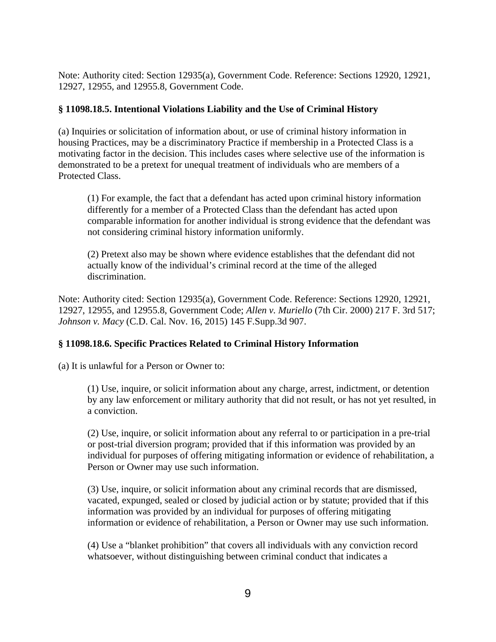Note: Authority cited: Section 12935(a), Government Code. Reference: Sections 12920, 12921, 12927, 12955, and 12955.8, Government Code.

# **§ 11098.18.5. Intentional Violations Liability and the Use of Criminal History**

(a) Inquiries or solicitation of information about, or use of criminal history information in housing Practices, may be a discriminatory Practice if membership in a Protected Class is a motivating factor in the decision. This includes cases where selective use of the information is demonstrated to be a pretext for unequal treatment of individuals who are members of a Protected Class.

(1) For example, the fact that a defendant has acted upon criminal history information differently for a member of a Protected Class than the defendant has acted upon comparable information for another individual is strong evidence that the defendant was not considering criminal history information uniformly.

(2) Pretext also may be shown where evidence establishes that the defendant did not actually know of the individual's criminal record at the time of the alleged discrimination.

Note: Authority cited: Section 12935(a), Government Code. Reference: Sections 12920, 12921, 12927, 12955, and 12955.8, Government Code; *Allen v. Muriello* (7th Cir. 2000) 217 F. 3rd 517; *Johnson v. Macy* (C.D. Cal. Nov. 16, 2015) 145 F.Supp.3d 907.

# **§ 11098.18.6. Specific Practices Related to Criminal History Information**

(a) It is unlawful for a Person or Owner to:

(1) Use, inquire, or solicit information about any charge, arrest, indictment, or detention by any law enforcement or military authority that did not result, or has not yet resulted, in a conviction.

(2) Use, inquire, or solicit information about any referral to or participation in a pre-trial or post-trial diversion program; provided that if this information was provided by an individual for purposes of offering mitigating information or evidence of rehabilitation, a Person or Owner may use such information.

(3) Use, inquire, or solicit information about any criminal records that are dismissed, vacated, expunged, sealed or closed by judicial action or by statute; provided that if this information was provided by an individual for purposes of offering mitigating information or evidence of rehabilitation, a Person or Owner may use such information.

(4) Use a "blanket prohibition" that covers all individuals with any conviction record whatsoever, without distinguishing between criminal conduct that indicates a